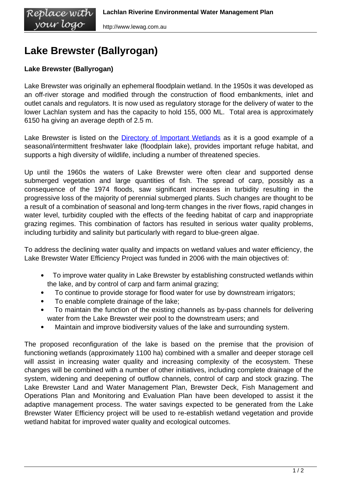## **Lake Brewster (Ballyrogan)**

## **Lake Brewster (Ballyrogan)**

Lake Brewster was originally an ephemeral floodplain wetland. In the 1950s it was developed as an off-river storage and modified through the construction of flood embankments, inlet and outlet canals and regulators. It is now used as regulatory storage for the delivery of water to the lower Lachlan system and has the capacity to hold 155, 000 ML. Total area is approximately 6150 ha giving an average depth of 2.5 m.

Lake Brewster is listed on the **[Directory of Important Wetlands](http://www.environment.gov.au/cgi-bin/wetlands/report.pl?smode=DOIW&doiw_refcodelist=NSW048)** as it is a good example of a seasonal/intermittent freshwater lake (floodplain lake), provides important refuge habitat, and supports a high diversity of wildlife, including a number of threatened species.

Up until the 1960s the waters of Lake Brewster were often clear and supported dense submerged vegetation and large quantities of fish. The spread of carp, possibly as a consequence of the 1974 floods, saw significant increases in turbidity resulting in the progressive loss of the majority of perennial submerged plants. Such changes are thought to be a result of a combination of seasonal and long-term changes in the river flows, rapid changes in water level, turbidity coupled with the effects of the feeding habitat of carp and inappropriate grazing regimes. This combination of factors has resulted in serious water quality problems, including turbidity and salinity but particularly with regard to blue-green algae.

To address the declining water quality and impacts on wetland values and water efficiency, the Lake Brewster Water Efficiency Project was funded in 2006 with the main objectives of:

- $\bullet$  To improve water quality in Lake Brewster by establishing constructed wetlands within the lake, and by control of carp and farm animal grazing;
- To continue to provide storage for flood water for use by downstream irrigators;  $\bullet$
- To enable complete drainage of the lake;  $\bullet$
- To maintain the function of the existing channels as by-pass channels for delivering water from the Lake Brewster weir pool to the downstream users; and
- Maintain and improve biodiversity values of the lake and surrounding system.  $\bullet$

The proposed reconfiguration of the lake is based on the premise that the provision of functioning wetlands (approximately 1100 ha) combined with a smaller and deeper storage cell will assist in increasing water quality and increasing complexity of the ecosystem. These changes will be combined with a number of other initiatives, including complete drainage of the system, widening and deepening of outflow channels, control of carp and stock grazing. The Lake Brewster Land and Water Management Plan, Brewster Deck, Fish Management and Operations Plan and Monitoring and Evaluation Plan have been developed to assist it the adaptive management process. The water savings expected to be generated from the Lake Brewster Water Efficiency project will be used to re-establish wetland vegetation and provide wetland habitat for improved water quality and ecological outcomes.